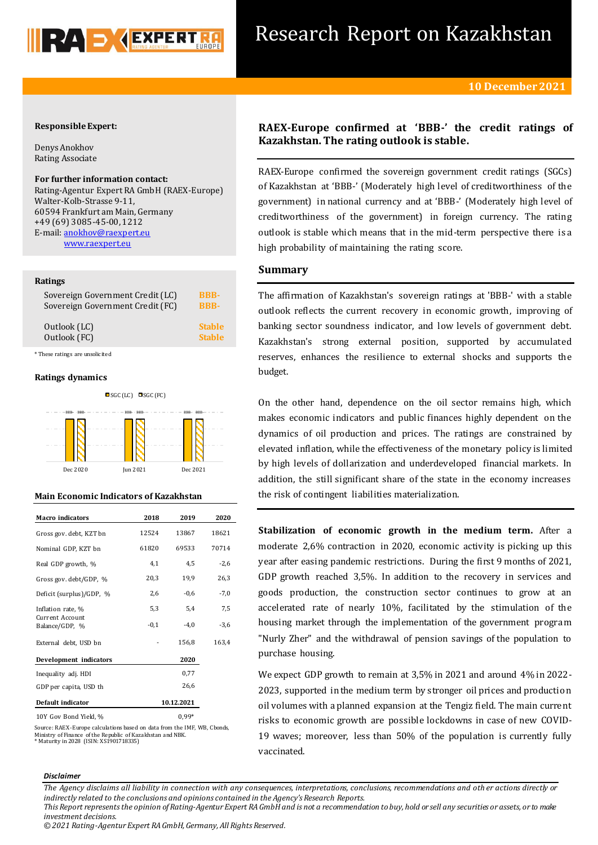

# **Responsible Expert:**

Denys Anokhov Rating Associate

**For further information contact:**

Rating-Agentur Expert RA GmbH (RAEX-Europe) Walter-Kolb-Strasse 9-11, 60594 Frankfurt am Main, Germany +49 (69) 3085-45-00, 1212 E-mail: [anokhov@raexpert.eu](file:///C:/Users/hectoralvarez/Downloads/anokhov@raexpert.eu)  [www.raexpert.eu](http://raexpert.eu/)

## **Ratings**

| Sovereign Government Credit (LC) | <b>BBB-</b>   |
|----------------------------------|---------------|
| Sovereign Government Credit (FC) | <b>BBB-</b>   |
| Outlook (LC)                     | <b>Stable</b> |
| Outlook (FC)                     | <b>Stable</b> |

\* These ratings are unsolicited

# **Ratings dynamics**



# **Main Economic Indicators of Kazakhstan**

| <b>Macro</b> indicators                  | 2018       | 2019    | 2020   |
|------------------------------------------|------------|---------|--------|
| Gross gov. debt, KZT bn                  | 12524      | 13867   | 18621  |
| Nominal GDP, KZT bn                      | 61820      | 69533   | 70714  |
| Real GDP growth, %                       | 4,1        | 4,5     | $-2,6$ |
| Gross gov. debt/GDP, %                   | 20,3       | 19,9    | 26,3   |
| Deficit (surplus)/GDP, %                 | 2,6        | $-0,6$  | $-7,0$ |
| Inflation rate, %                        | 5,3        | 5,4     | 7,5    |
| <b>Current Account</b><br>Balance/GDP, % | $-0,1$     | $-4.0$  | $-3,6$ |
| External debt, USD bn                    |            | 156,8   | 163,4  |
| Development indicators                   |            | 2020    |        |
| Inequality adj. HDI                      |            | 0,77    |        |
| GDP per capita, USD th                   |            | 26,6    |        |
| Default indicator                        | 10.12.2021 |         |        |
| 10Y Gov Bond Yield, %                    |            | $0.99*$ |        |

Source: RAEX-Europe calculations based on data from the IMF, WB, Cbonds, Ministry of Finance of the Republic of Kazakhstan and NBK. \* Maturity in 2028 (ISIN: XS1901718335)

# **RAEX-Europe confirmed at 'BBB-' the credit ratings of Kazakhstan. The rating outlook is stable.**

RAEX-Europe confirmed the sovereign government credit ratings (SGCs) of Kazakhstan at 'BBB-' (Moderately high level of creditworthiness of the government) in national currency and at 'BBB-' (Moderately high level of creditworthiness of the government) in foreign currency. The rating outlook is stable which means that in the mid-term perspective there is a high probability of maintaining the rating score.

# **Summary**

The affirmation of Kazakhstan's sovereign ratings at 'BBB-' with a stable outlook reflects the current recovery in economic growth, improving of banking sector soundness indicator, and low levels of government debt. Kazakhstan's strong external position, supported by accumulated reserves, enhances the resilience to external shocks and supports the budget.

On the other hand, dependence on the oil sector remains high, which makes economic indicators and public finances highly dependent on the dynamics of oil production and prices. The ratings are constrained by elevated inflation, while the effectiveness of the monetary policy is limited by high levels of dollarization and underdeveloped financial markets. In addition, the still significant share of the state in the economy increases the risk of contingent liabilities materialization.

**Stabilization of economic growth in the medium term.** After a moderate 2,6% contraction in 2020, economic activity is picking up this year after easing pandemic restrictions. During the first 9 months of 2021, GDP growth reached 3,5%. In addition to the recovery in services and goods production, the construction sector continues to grow at an accelerated rate of nearly 10%, facilitated by the stimulation of the housing market through the implementation of the government program "Nurly Zher" and the withdrawal of pension savings of the population to purchase housing.

We expect GDP growth to remain at 3,5% in 2021 and around 4% in 2022- 2023, supported in the medium term by stronger oil prices and production oil volumes with a planned expansion at the Tengiz field. The main current risks to economic growth are possible lockdowns in case of new COVID-19 waves; moreover, less than 50% of the population is currently fully vaccinated.

#### *Disclaimer*

*The Agency disclaims all liability in connection with any consequences, interpretations, conclusions, recommendations and oth er actions directly or indirectly related to the conclusions and opinions contained in the Agency's Research Reports.*

*© 2021 Rating-Agentur Expert RA GmbH, Germany, All Rights Reserved.*

*This Report represents the opinion of Rating-Agentur Expert RA GmbH and is not a recommendation to buy, hold or sell any securities or assets, or to make investment decisions.*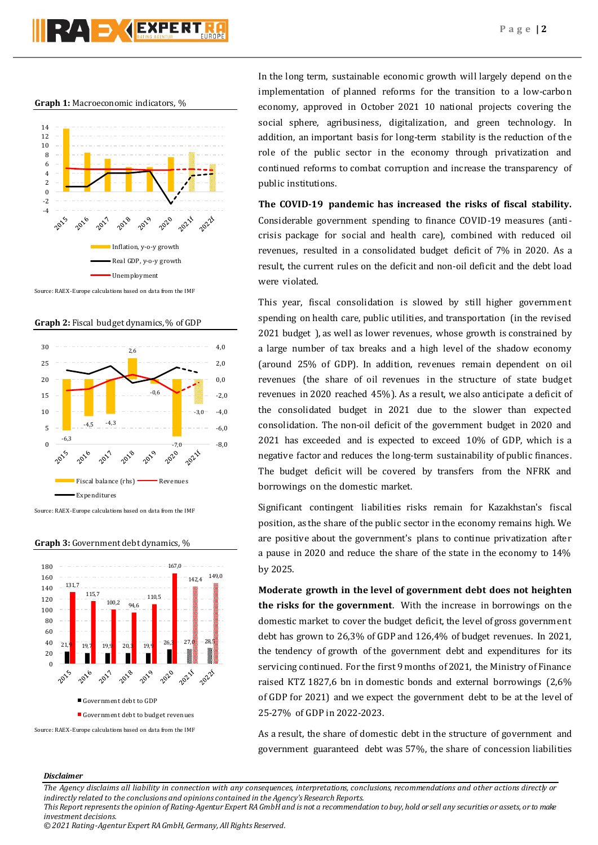# PZA DYCEXPERT

### **Graph 1:** Macroeconomic indicators, %



Source: RAEX-Europe calculations based on data from the IMF

**Graph 2:** Fiscal budget dynamics, % of GDP



Source: RAEX-Europe calculations based on data from the IMF



# **Graph 3:** Government debt dynamics, %

In the long term, sustainable economic growth will largely depend on the implementation of planned reforms for the transition to a low-carbon economy, approved in October 2021 10 national projects covering the social sphere, agribusiness, digitalization, and green technology. In addition, an important basis for long-term stability is the reduction of the role of the public sector in the economy through privatization and continued reforms to combat corruption and increase the transparency of public institutions.

**The COVID-19 pandemic has increased the risks of fiscal stability.**  Considerable government spending to finance COVID-19 measures (anticrisis package for social and health care), combined with reduced oil revenues, resulted in a consolidated budget deficit of 7% in 2020. As a result, the current rules on the deficit and non-oil deficit and the debt load were violated.

This year, fiscal consolidation is slowed by still higher government spending on health care, public utilities, and transportation (in the revised 2021 budget ), as well as lower revenues, whose growth is constrained by a large number of tax breaks and a high level of the shadow economy (around 25% of GDP). In addition, revenues remain dependent on oil revenues (the share of oil revenues in the structure of state budget revenues in 2020 reached 45%). As a result, we also anticipate a deficit of the consolidated budget in 2021 due to the slower than expected consolidation. The non-oil deficit of the government budget in 2020 and 2021 has exceeded and is expected to exceed 10% of GDP, which is a negative factor and reduces the long-term sustainability of public finances. The budget deficit will be covered by transfers from the NFRK and borrowings on the domestic market.

Significant contingent liabilities risks remain for Kazakhstan's fiscal position, as the share of the public sector in the economy remains high. We are positive about the government's plans to continue privatization after a pause in 2020 and reduce the share of the state in the economy to 14% by 2025.

**Moderate growth in the level of government debt does not heighten the risks for the government**. With the increase in borrowings on the domestic market to cover the budget deficit, the level of gross government debt has grown to 26,3% of GDP and 126,4% of budget revenues. In 2021, the tendency of growth of the government debt and expenditures for its servicing continued. For the first 9 months of 2021, the Ministry of Finance raised KTZ 1827,6 bn in domestic bonds and external borrowings (2,6% of GDP for 2021) and we expect the government debt to be at the level of 25-27% of GDP in 2022-2023.

As a result, the share of domestic debt in the structure of government and government guaranteed debt was 57%, the share of concession liabilities

## *Disclaimer*

*investment decisions.*

*The Agency disclaims all liability in connection with any consequences, interpretations, conclusions, recommendations and other actions directly or indirectly related to the conclusions and opinions contained in the Agency's Research Reports. This Report represents the opinion of Rating-Agentur Expert RA GmbH and is not a recommendation to buy, hold or sell any securities or assets, or to make* 

*<sup>© 2021</sup> Rating-Agentur Expert RA GmbH, Germany, All Rights Reserved.*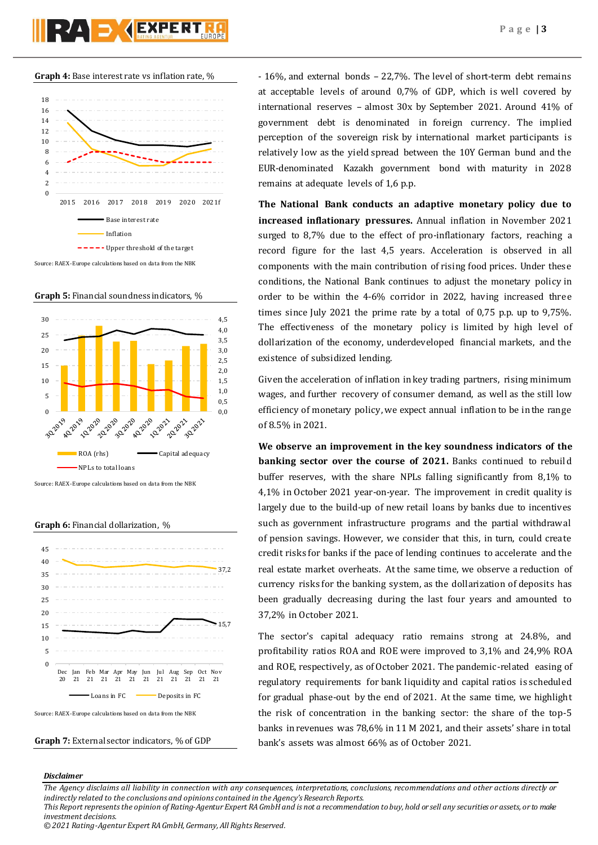

Source: RAEX-Europe calculations based on data from the NBK

**Graph 5:** Financial soundness indicators, %



burce: RAEX-Europe calculations based on data from the NBK

### **Graph 6:** Financial dollarization, %



**Graph 7:** External sector indicators, % of GDP

- 16%, and external bonds – 22,7%. The level of short-term debt remains at acceptable levels of around 0,7% of GDP, which is well covered by international reserves – almost 30x by September 2021. Around 41% of government debt is denominated in foreign currency. The implied perception of the sovereign risk by international market participants is relatively low as the yield spread between the 10Y German bund and the EUR-denominated Kazakh government bond with maturity in 2028 remains at adequate levels of 1,6 p.p.

**The National Bank conducts an adaptive monetary policy due to increased inflationary pressures.** Annual inflation in November 2021 surged to 8,7% due to the effect of pro-inflationary factors, reaching a record figure for the last 4,5 years. Acceleration is observed in all components with the main contribution of rising food prices. Under these conditions, the National Bank continues to adjust the monetary policy in order to be within the 4-6% corridor in 2022, having increased three times since July 2021 the prime rate by a total of 0,75 p.p. up to 9,75%. The effectiveness of the monetary policy is limited by high level of dollarization of the economy, underdeveloped financial markets, and the existence of subsidized lending.

Given the acceleration of inflation in key trading partners, rising minimum wages, and further recovery of consumer demand, as well as the still low efficiency of monetary policy, we expect annual inflation to be in the range of 8.5% in 2021.

**We observe an improvement in the key soundness indicators of the banking sector over the course of 2021.** Banks continued to rebuild buffer reserves, with the share NPLs falling significantly from 8,1% to 4,1% in October 2021 year-on-year. The improvement in credit quality is largely due to the build-up of new retail loans by banks due to incentives such as government infrastructure programs and the partial withdrawal of pension savings. However, we consider that this, in turn, could create credit risks for banks if the pace of lending continues to accelerate and the real estate market overheats. At the same time, we observe a reduction of currency risks for the banking system, as the dollarization of deposits has been gradually decreasing during the last four years and amounted to 37,2% in October 2021.

The sector's capital adequacy ratio remains strong at 24.8%, and profitability ratios ROA and ROE were improved to 3,1% and 24,9% ROA and ROE, respectively, as of October 2021. The pandemic-related easing of regulatory requirements for bank liquidity and capital ratios is scheduled for gradual phase-out by the end of 2021. At the same time, we highlight the risk of concentration in the banking sector: the share of the top-5 banks in revenues was 78,6% in 11 M 2021, and their assets' share in total bank's assets was almost 66% as of October 2021.

### *Disclaimer*

*The Agency disclaims all liability in connection with any consequences, interpretations, conclusions, recommendations and other actions directly or indirectly related to the conclusions and opinions contained in the Agency's Research Reports.*

*© 2021 Rating-Agentur Expert RA GmbH, Germany, All Rights Reserved.*

*This Report represents the opinion of Rating-Agentur Expert RA GmbH and is not a recommendation to buy, hold or sell any securities or assets, or to make investment decisions.*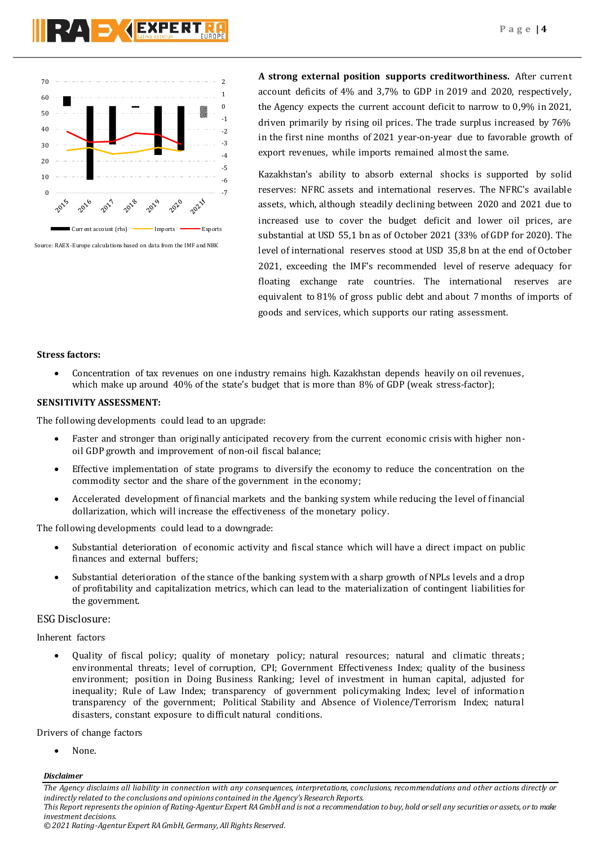



Source: RAEX-Europe calculations based on data from the IMF and NBK

**A strong external position supports creditworthiness.** After current account deficits of 4% and 3,7% to GDP in 2019 and 2020, respectively, the Agency expects the current account deficit to narrow to 0,9% in 2021, driven primarily by rising oil prices. The trade surplus increased by 76% in the first nine months of 2021 year-on-year due to favorable growth of export revenues, while imports remained almost the same.

Kazakhstan's ability to absorb external shocks is supported by solid reserves: NFRC assets and international reserves. The NFRC's available assets, which, although steadily declining between 2020 and 2021 due to increased use to cover the budget deficit and lower oil prices, are substantial at USD 55,1 bn as of October 2021 (33% of GDP for 2020). The level of international reserves stood at USD 35,8 bn at the end of October 2021, exceeding the IMF's recommended level of reserve adequacy for floating exchange rate countries. The international reserves are equivalent to 81% of gross public debt and about 7 months of imports of goods and services, which supports our rating assessment.

# **Stress factors:**

 Concentration of tax revenues on one industry remains high. Kazakhstan depends heavily on oil revenues, which make up around 40% of the state's budget that is more than 8% of GDP (weak stress-factor);

# **SENSITIVITY ASSESSMENT:**

The following developments could lead to an upgrade:

- Faster and stronger than originally anticipated recovery from the current economic crisis with higher nonoil GDP growth and improvement of non-oil fiscal balance;
- Effective implementation of state programs to diversify the economy to reduce the concentration on the commodity sector and the share of the government in the economy;
- Accelerated development of financial markets and the banking system while reducing the level of financial dollarization, which will increase the effectiveness of the monetary policy.

The following developments could lead to a downgrade:

- Substantial deterioration of economic activity and fiscal stance which will have a direct impact on public finances and external buffers;
- Substantial deterioration of the stance of the banking system with a sharp growth of NPLs levels and a drop of profitability and capitalization metrics, which can lead to the materialization of contingent liabilities for the government.

# ESG Disclosure:

# Inherent factors

 Quality of fiscal policy; quality of monetary policy; natural resources; natural and climatic threats; environmental threats; level of corruption, CPI; Government Effectiveness Index; quality of the business environment; position in Doing Business Ranking; level of investment in human capital, adjusted for inequality; Rule of Law Index; transparency of government policymaking Index; level of information transparency of the government; Political Stability and Absence of Violence/Terrorism Index; natural disasters, constant exposure to difficult natural conditions.

Drivers of change factors

None.

## *Disclaimer*

*The Agency disclaims all liability in connection with any consequences, interpretations, conclusions, recommendations and other actions directly or indirectly related to the conclusions and opinions contained in the Agency's Research Reports. This Report represents the opinion of Rating-Agentur Expert RA GmbH and is not a recommendation to buy, hold or sell any securities or assets, or to make* 

*investment decisions.*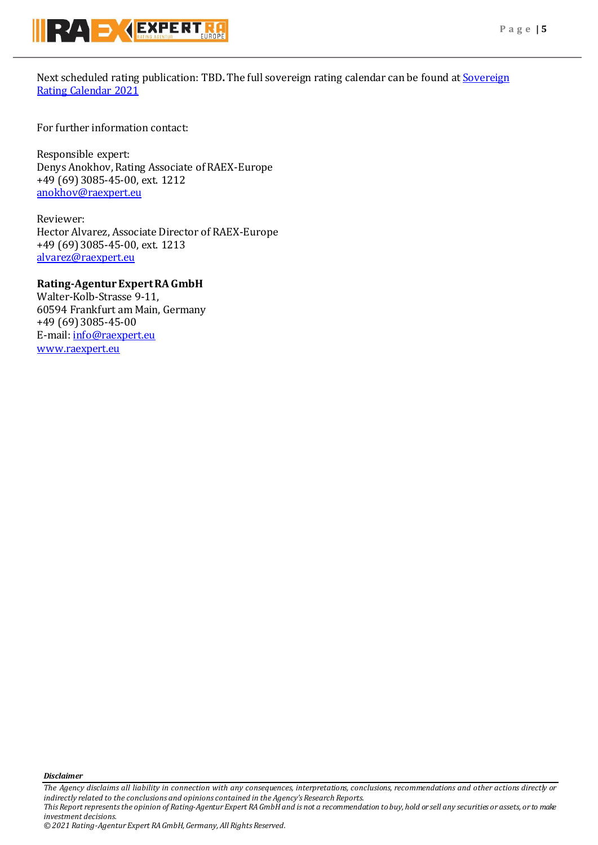

Next scheduled rating publication: TBD**.** The full sovereign rating calendar can be found at [Sovereign](https://raexpert.eu/sovereign/#conf-tab-5)  [Rating Calendar 2021](https://raexpert.eu/sovereign/#conf-tab-5)

For further information contact:

Responsible expert: Denys Anokhov, Rating Associate of RAEX-Europe +49 (69) 3085-45-00, ext. 1212 [anokhov@raexpert.eu](mailto:anokhov@raexpert.eu)

Reviewer: Hector Alvarez, Associate Director of RAEX-Europe +49 (69) 3085-45-00, ext. 1213 [alvarez@raexpert.eu](mailto:alvarez@raexpert.eu)

# **Rating-Agentur Expert RA GmbH**

Walter-Kolb-Strasse 9-11, 60594 Frankfurt am Main, Germany +49 (69) 3085-45-00 E-mail[: info@raexpert.eu](mailto:info@raexpert.eu) [www.raexpert.eu](http://raexpert.eu/)

*Disclaimer* 

*The Agency disclaims all liability in connection with any consequences, interpretations, conclusions, recommendations and other actions directly or indirectly related to the conclusions and opinions contained in the Agency's Research Reports. This Report represents the opinion of Rating-Agentur Expert RA GmbH and is not a recommendation to buy, hold or sell any securities or assets, or to make investment decisions.*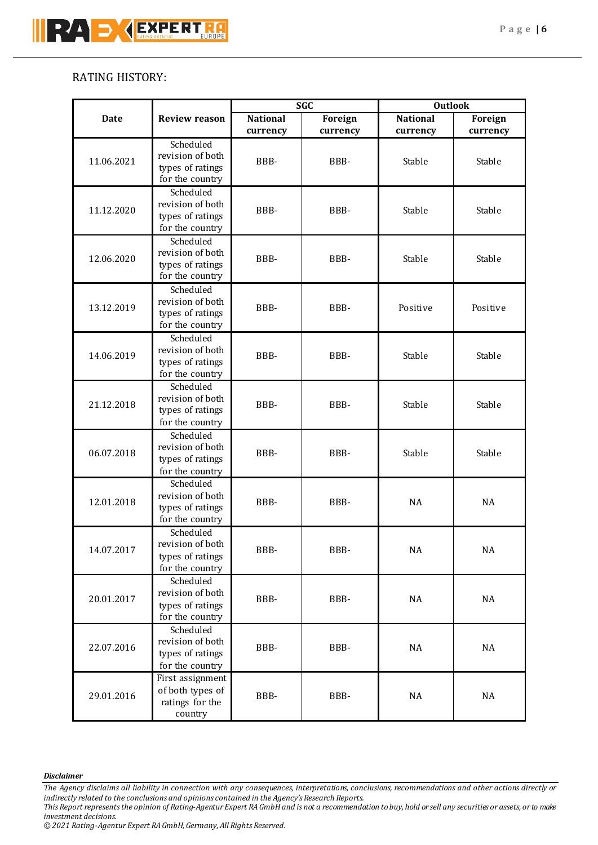# RATING HISTORY:

|             |                                     | <b>SGC</b>      |                | <b>Outlook</b>  |          |    |    |
|-------------|-------------------------------------|-----------------|----------------|-----------------|----------|----|----|
| <b>Date</b> | <b>Review reason</b>                | <b>National</b> | <b>Foreign</b> | <b>National</b> | Foreign  |    |    |
|             |                                     | currency        | currency       | currency        | currency |    |    |
| 11.06.2021  | Scheduled                           |                 |                |                 |          |    |    |
|             | revision of both                    | BBB-            | BBB-           | Stable          | Stable   |    |    |
|             | types of ratings                    |                 |                |                 |          |    |    |
|             | for the country                     |                 |                |                 |          |    |    |
|             | Scheduled                           |                 |                |                 |          |    |    |
| 11.12.2020  | revision of both                    | BBB-            | BBB-           | Stable          | Stable   |    |    |
|             | types of ratings                    |                 |                |                 |          |    |    |
|             | for the country                     |                 |                |                 |          |    |    |
|             | Scheduled                           | BBB-            | BBB-           | Stable          | Stable   |    |    |
| 12.06.2020  | revision of both                    |                 |                |                 |          |    |    |
|             | types of ratings                    |                 |                |                 |          |    |    |
|             | for the country                     |                 |                |                 |          |    |    |
|             | Scheduled                           |                 | BBB-           | Positive        | Positive |    |    |
| 13.12.2019  | revision of both                    | BBB-            |                |                 |          |    |    |
|             | types of ratings<br>for the country |                 |                |                 |          |    |    |
|             | Scheduled                           |                 |                |                 |          |    |    |
|             | revision of both                    |                 | BBB-           |                 |          |    |    |
| 14.06.2019  | types of ratings                    | BBB-            |                | Stable          | Stable   |    |    |
|             | for the country                     |                 |                |                 |          |    |    |
|             | Scheduled                           |                 |                |                 |          |    |    |
|             | revision of both                    |                 |                |                 |          |    |    |
| 21.12.2018  | types of ratings                    | BBB-            | BBB-           | Stable          | Stable   |    |    |
|             | for the country                     |                 |                |                 |          |    |    |
|             | Scheduled                           |                 |                |                 |          |    |    |
|             | revision of both                    |                 |                |                 |          |    |    |
| 06.07.2018  | types of ratings                    | BBB-            | BBB-           | Stable          | Stable   |    |    |
|             | for the country                     |                 |                |                 |          |    |    |
|             | Scheduled                           |                 |                |                 |          |    |    |
|             | revision of both                    | BBB-            | BBB-           | <b>NA</b>       | NA       |    |    |
| 12.01.2018  | types of ratings                    |                 |                |                 |          |    |    |
|             | for the country                     |                 |                |                 |          |    |    |
|             | Scheduled                           | BBB-            |                |                 |          |    |    |
| 14.07.2017  | revision of both                    |                 | BBB-           |                 | NA       | NA |    |
|             | types of ratings                    |                 |                |                 |          |    |    |
|             | for the country                     |                 |                |                 |          |    |    |
|             | Scheduled                           | BBB-            | BBB-           |                 |          |    |    |
| 20.01.2017  | revision of both                    |                 |                |                 | NA       | NA |    |
|             | types of ratings                    |                 |                |                 |          |    |    |
|             | for the country                     |                 |                |                 |          |    |    |
| 22.07.2016  | Scheduled                           | BBB-            |                |                 |          |    |    |
|             | revision of both                    |                 | BBB-           | NA              | NA       |    |    |
|             | types of ratings                    |                 |                |                 |          |    |    |
|             | for the country                     |                 |                |                 |          |    |    |
| 29.01.2016  | First assignment                    |                 |                |                 |          |    |    |
|             | of both types of<br>ratings for the | BBB-            |                |                 | BBB-     | NA | NA |
|             | country                             |                 |                |                 |          |    |    |
|             |                                     |                 |                |                 |          |    |    |

# *Disclaimer*

*The Agency disclaims all liability in connection with any consequences, interpretations, conclusions, recommendations and other actions directly or indirectly related to the conclusions and opinions contained in the Agency's Research Reports.*

*This Report represents the opinion of Rating-Agentur Expert RA GmbH and is not a recommendation to buy, hold or sell any securities or assets, or to make investment decisions.*